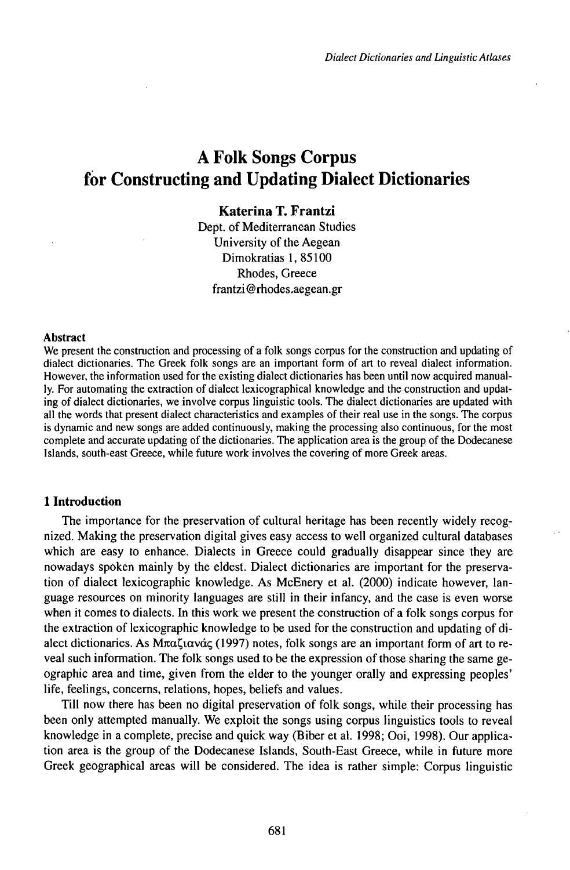# **A Folk Songs Corpus for Constructing and Updating Dialect Dictionaries**

# **Katerina T. Frantzi**

Dept. of Mediterranean Studies University of the Aegean Dimokratias 1, 85100 Rhodes, Greece frantzi@rhodes.aegean.gr

#### **Abstract**

We present the construction and processing of a folk songs corpus for the construction and updating of dialect dictionaries. The Greek folk songs are an important form of art to reveal dialect information. However, the information used for the existing dialect dictionaries has been until now acquired manually. For automating the extraction of dialect lexicographical knowledge and the construction and updating of dialect dictionaries, we involve corpus linguistic tools. The dialect dictionaries are updated with all the words that present dialect characteristics and examples of their real use in the songs. The corpus is dynamic and new songs are added continuously, making the processing also continuous, for the most complete and accurate updating of the dictionaries. The application area is the group of the Dodecanese Islands, south-east Greece, while future work involves the covering of more Greek areas.

## **1 Introduction**

The importance for the preservation of cultural heritage has been recently widely recognized. Making the preservation digital gives easy access to well organized cultural databases which are easy to enhance. Dialects in Greece could gradually disappear since they are nowadays spoken mainly by the eldest. Dialect dictionaries are important for the preservation of dialect lexicographic knowledge. As McEnery et al. (2000) indicate however, language resources on minority languages are still in their infancy, and the case is even worse when it comes to dialects. In this work we present the construction of a folk songs corpus for the extraction of lexicographic knowledge to be used for the construction and updating of dialect dictionaries. As  $M\pi\alpha\zeta$  (1997) notes, folk songs are an important form of art to reveal such information. The folk songs used to be the expression ofthose sharing the same geographic area and time, given from the elder to the younger orally and expressing peoples' life, feelings, concerns, relations, hopes, beliefs and values.

Till now there has been no digital preservation of folk songs, while their processing has been only attempted manually. We exploit the songs using corpus linguistics tools to reveal knowledge in a complete, precise and quick way (Biber et al. 1998; Ooi, 1998). Our application area is the group of the Dodecanese Islands, South-East Greece, while in future more Greek geographical areas will be considered. The idea is rather simple: Corpus linguistic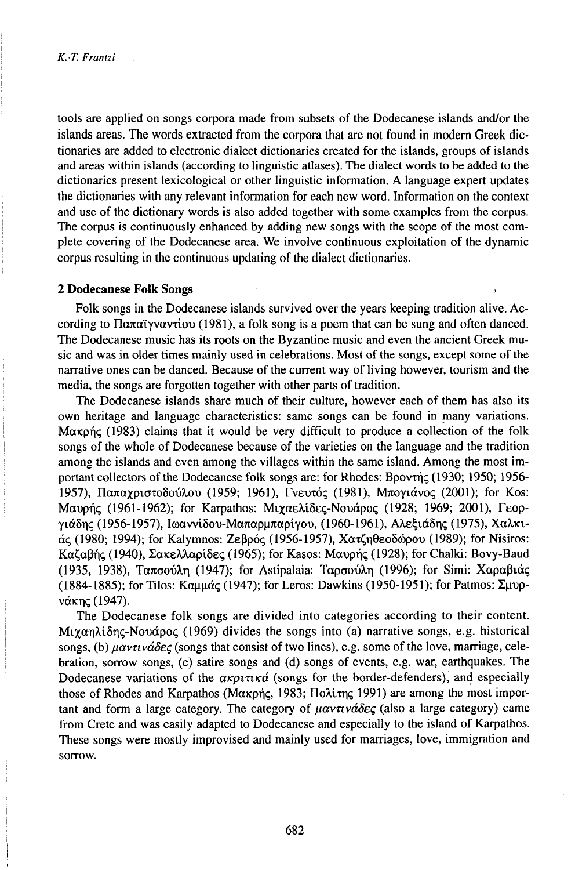tools are applied on songs corpora made from subsets of the Dodecanese islands and/or the islands areas. The words extracted from the corpora that are not found in modern Greek dictionaries are added to electronic dialect dictionaries created for the islands, groups of islands and areas within islands (according to linguistic atlases). The dialect words to be added to the dictionaries present lexicological or other linguistic information. A language expert updates the dictionaries with any relevant information for each new word. Information on the context and use of the dictionary words is also added together with some examples from the corpus. The corpus is continuously enhanced by adding new songs with the scope of the most complete covering of the Dodecanese area. We involve continuous exploitation of the dynamic corpus resulting in the continuous updating of the dialect dictionaries.

## **2 Dodecanese Folk Songs**

Folk songs in the Dodecanese islands survived over the years keeping tradition alive. According to  $\Pi\alpha\pi\alpha\gamma\gamma\alpha\gamma$  (1981), a folk song is a poem that can be sung and often danced. The Dodecanese music has its roots on the Byzantine music and even the ancient Greek music and was in older times mainly used in celebrations. Most of the songs, except some of the narrative ones can be danced. Because of the current way of living however, tourism and the media, the songs are forgotten together with other parts of tradition.

The Dodecanese islands share much of their culture, however each of them has also its own heritage and language characteristics: same songs can be found in many variations.  $M\alpha\kappa\rho\eta\varsigma$  (1983) claims that it would be very difficult to produce a collection of the folk songs of the whole of Dodecanese because of the varieties on the language and the tradition among the islands and even among the villages within the same island. Among the most important collectors of the Dodecanese folk songs are: for Rhodes: Bpovtnc (1930; 1950; 1956-1957), Παπαχριστοδούλου (1959; 1961), Γνευτός (1981), Μπογιάνος (2001); for Kos: Mαυρής (1961-1962); for Karpathos: Μιχαελίδες-Νουάρος (1928; 1969; 2001), Γεοργιάδης (1956-1957), Ιωαννίδου-Μαπαρμπαρίγου, (1960-1961), Αλεξιάδης (1975), Χαλκιάς (1980; 1994); for Kalymnos: Ζεβρός (1956-1957), Χατζηθεοδώρου (1989); for Nisiros:<br>Καζαβής (1940), Σακελλαρίδες (1965); for Kasos: Μαυρής (1928); for Chalki: Bovy-Baud Kαζαβής (1940), Σακελλαρίδες (1965); for Kasos: Μαυρής (1928); for Chalki: Bovy-Baud<br>(1935, 1938), Ταπσούλη (1947); for Astipalaia: Ταρσούλη (1996); for Simi: Χαραβιάς (1884-1885); for Tilos: •••••• (1947); for Leros: Dawkins (1950-1951); for Patmos: Zuupνάκης (1947).

The Dodecanese folk songs are divided into categories according to their content. Mixan $\lambda$ iδης-Novápoc (1969) divides the songs into (a) narrative songs, e.g. historical songs, (b) *ßavnvaöeq* (songs that consist of two lines), e.g. some of the love, marriage, celebration, sorrow songs, (c) satire songs and (d) songs of events, e.g. war, earthquakes. The<br>Dodecanese variations of the  $\alpha \kappa \rho \iota \tau \iota \kappa \alpha'$  (songs for the border-defenders), and especially Dodecanese variations of the  $\alpha \kappa \rho \iota \tau \iota \kappa \dot{\alpha}$  (songs for the border-defenders), and especially those of Rhodes and Karpathos (Μακρής, 1983; Πολίτης 1991) are among the most important and form a large category. The category of *ßavnvaöeg* (also a large category) came from Crete and was easily adapted to Dodecanese and especially to the island of Karpathos. These songs were mostly improvised and mainly used for marriages, love, immigration and sorrow.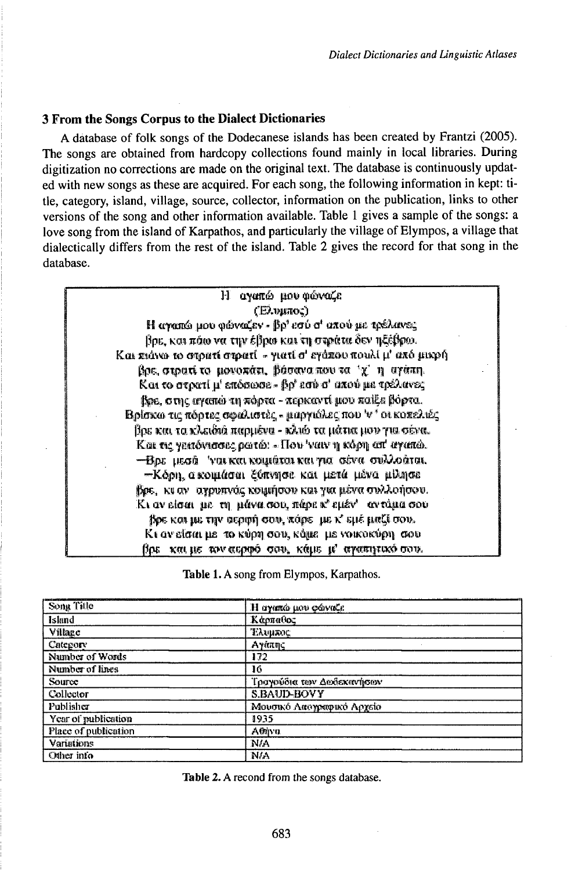## 3 From the Songs Corpus to the Dialect Dictionaries

A database of folk songs of the Dodecanese islands has been created by Frantzi (2005). The songs are obtained from hardcopy collections found mainly in local libraries. During digitization no corrections are made on the original text. The database is continuously updated with new songs as these are acquired. For each song, the following information in kept: title, category, island, village, source, collector, information on the publication, links to other versions of the song and other information available. Table 1 gives a sample of the songs: a love song from the island of Karpathos, and particularly the village of Elympos, a village that dialectically differs from the rest of the island. Table 2 gives the record for that song in the database.

| αγαπώ μου φώναζε<br>$\bf H$                                     |
|-----------------------------------------------------------------|
| (Елингос)                                                       |
| Η αγαπώ μου φώναζεν « βρ' εσύ σ' απού με τρέλανες               |
| βρε, και πάω να την έβρω και τη στράτα δεν ηξέβρω.              |
| Και πιάνω το στρατί στρατί - γιατί σ' εγάπου πουλί μ' από μικρή |
| βρε, στρατί το μονοκάτι, βάσανα που τα 'χ' η αγάπη.             |
| Και το στρατί μ' επόσωσε - βρ' εσύ σ' απού με τρέλανες          |
| βρε, στης αγαπώ τη πόρτα - περκαντί μου παίξε βόρτα.            |
| Bρίσκω τις πόρτες σφαλιστές - μαργιάλες που 'ν' οι κοπελιές     |
| βρε και τα κλειδιά παρμένα - κλιώ τα μάτια μου για σένα.        |
| Kai τις γειτόνισσες ρωτώ: «Που 'ναιν η κόρη απ' αγαπώ.          |
| -Βρε μεσά 'ναι και κοιμάται και για σένα συλλοάται.             |
| -Κόρη, ακοιμάσαι ξύπνησε και μετά μένα μίλησε                   |
| βρε, κι αν αγρυπνάς κοιμήσου και για μένα συλλοήσου.            |
| Κι αν είσαι με τη μάνα σου, πάρε κ' εμέν' αντύμα σου            |
| βρε και με την σερφή σου, πάρε με κ' εμέ μαζί σου.              |
| Κι αν είσαι με το κύρη σου, κόμε με νοικοκύρη σου               |
| βρε και με τον αερφό σου, κάμε μ' αγαπητικό σου.                |

Table 1. A song from Elympos, Karpathos.

| Song Title           | Η αγαπώ μου φώναζε        |  |
|----------------------|---------------------------|--|
| <b>Island</b>        | Κάρπαθος                  |  |
| Village              | <b>Елинкос</b>            |  |
| Category             | Ауатас                    |  |
| Number of Words      | 172                       |  |
| Number of lines      | 16                        |  |
| Source               | Τραγούδια των Δωδεκανήσων |  |
| Collector            | <b>S.BAUD-BOVY</b>        |  |
| Publisher            | Μουσικό Λαογραφικό Αρχείο |  |
| Year of publication  | 1935                      |  |
| Place of publication | Athiva                    |  |
| <b>Variations</b>    | NIA                       |  |
| Other info           | NA                        |  |

Table 2. A recond from the songs database.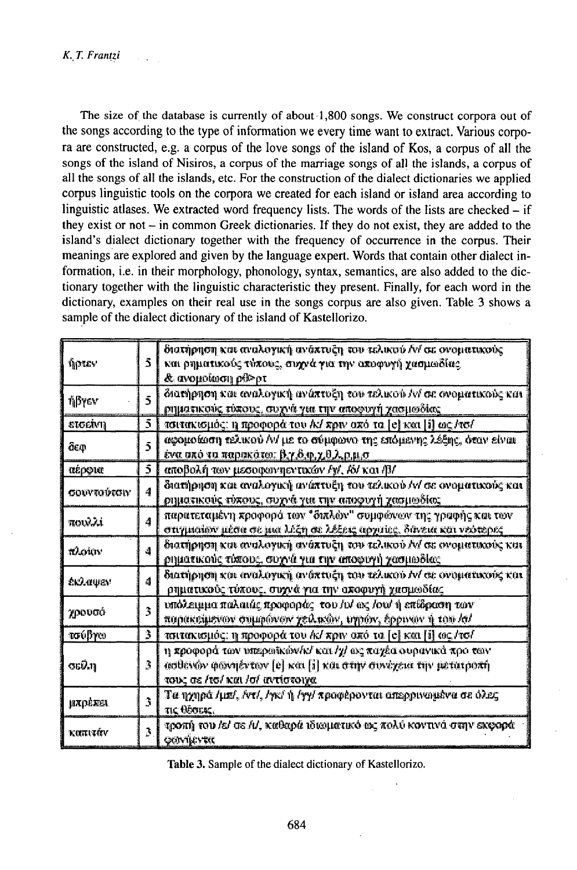The size of the database is currently of about 1,800 songs. We construct corpora out of the songs according to the type of information we every time want to extract. Various corpora are constructed, e.g. a corpus of the love songs of the island of Kos, a corpus of all the songs of the island of Nisiros, a corpus of the marriage songs of all the islands, a corpus of all the songs of all the islands, etc. For the construction of the dialect dictionaries we applied corpus linguistic tools on the corpora we created for each island or island area according to linguistic atlases. We extracted word frequency lists. The words of the lists are checked  $-$  if they exist or not  $-$  in common Greek dictionaries. If they do not exist, they are added to the island's dialect dictionary together with the frequency of occurrence in the corpus. Their meanings are explored and given by the language expert. Words that contain other dialect information, i.e. in their morphology, phonology, syntax, semantics, are also added to the dictionary together with the linguistic characteristic they present. Finally, for each word in the dictionary, examples on their real use in the songs corpus are also given. Table 3 shows a sample of the dialect dictionary of the island of Kastellorizo.

| ήρτεν            | 5.                      | διατήρηση και αναλογική ανάπτυξη του τελικού Αν' σε ονοματικούς<br>και ρηματικούς τύπους, συχνά για την αποφυγή χασμωδίας.                                       |
|------------------|-------------------------|------------------------------------------------------------------------------------------------------------------------------------------------------------------|
|                  |                         | & ανομοίωση ρθ>ρτ                                                                                                                                                |
| ήβγεν            | $\overline{5}$          | διατήρηση και αναλογική ανάπτυξη του τελικού Αν' σε ονοματικούς και                                                                                              |
|                  |                         | ρηματικούς τύπους, συχνά για την αποφυγή χασμοδίας                                                                                                               |
| ετσείνη          | 5.                      | τσιτακισμός: η προφορά του /κ/ πριν από τα [e] και [i] ως /τσ/                                                                                                   |
| äeo              | $\bar{3}$               | αφομοίωση τελικού Α/ με το σύμφωνο της επόμενης λέξης, όταν είναι<br><u>ένα σπό τα παρακάτω: β,γ,δ,φ,χ,θ,λ,ρ,μ,σ.</u>                                            |
| αέρφια           | Č.                      | αποβολή των μεσοφωνηεντικών /γ/, /δ/ και /β/                                                                                                                     |
| σουντούτσιν      | 4                       | διατήρηση και αναλογική ανάπτυξη του τελικού /v/ σε ονοματικούς και<br>ρηματικούς τύπους, συχνά για την αποφυγή χασμωδίας                                        |
| TOULLI           | 4                       | παρατεταμένη προφορά των "διπλών" συμφέινων της γραφής και των<br>στιγμισίων μέσα σε μια λέξη σε λέξεις αρχαίες. δάνεια και νεύτερες                             |
| <b>TO COUNTY</b> | ی                       | διατήρηση και αναλογική ανάπτυξη του τελικού Αν' σε ονοματικούς και<br>ρηματικούς τύπους, συχνά για την αποφυγή χασμωδίας                                        |
| вкілцем          | đ                       | διατήρηση και αναλογική ανάπτυξη του τελικού Αν' σε ονοματικούς και<br>ρηματικούς τύχους, συχνά για την αποφυγή χασμωδίας.                                       |
| χρουσό           | $\overline{3}$          | υπόλειμμα παλαιάς προφοράς -του /υ/ ως /ου/ ή επίδραση των<br>παρακείμενων συμφώνων χειλικών, τηρών, έρρυναν ή του /σ/                                           |
| <u>roußper</u>   | 3.                      | τσιτακισμός: η προφορά του /k/ xpw από τα [e] και [i] ως /τσ/                                                                                                    |
| கூர              | З.                      | η προφορά των υπερωϊκών/κ/ και /χ/ ως παχέα ουρανικά προ των<br>ωσθενών φωνηέντων [e] και [i] και στην συνέχεια την μετατροπή<br>τους σε /το/ και /σ/ αντίστοιχα |
| <b>µлрежел</b>   | 3                       | Τα ηχηρά /μπ/, /ντ/, /γκ/ ή /γγ/ προφέρονται απερρινωμένα σε όλες<br>TIC WOODK.                                                                                  |
| καπιτάν          | $\overline{\mathbf{3}}$ | τροπή του /ε/ σε /ι/, καθαρά ιδιωματικό ως πολύ κοντινά στην εκφορά<br>Qavijevte                                                                                 |

Table 3. Sample of the dialect dictionary of Kastellorizo.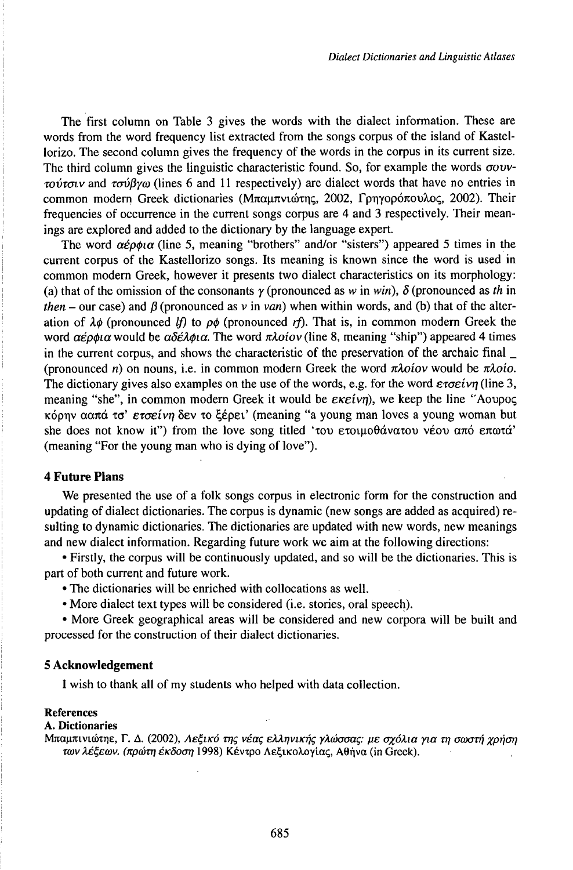The first column on Table 3 gives the words with the dialect information. These are words from the word frequency list extracted from the songs corpus of the island of Kastellorizo. The second column gives the frequency of the words in the corpus in its current size. The third column gives the linguistic characteristic found. So, for example the words *aovvmvToiv* and *Tavßyco* (lines 6 and <sup>11</sup> respectively) are dialect words that have no entries in common modern Greek dictionaries (Μπαμπνιώτης, 2002, Γρηγορόπουλος, 2002). Their frequencies of occurrence in the current songs corpus are 4 and 3 respectively. Their meanings are explored and added to the dictionary by the language expert.

The word *αέρφια* (line 5, meaning "brothers" and/or "sisters") appeared 5 times in the current corpus of the Kastellorizo songs. Its meaning is known since the word is used in common modern Greek, however it presents two dialect characteristics on its morphology: (a) that of the omission of the consonants  $\gamma$  (pronounced as *w* in *win*),  $\delta$  (pronounced as *th* in *then* – our case) and  $\beta$  (pronounced as v in van) when within words, and (b) that of the alteration of  $\lambda \phi$  (pronounced *lf)* to  $\rho \phi$  (pronounced *rf)*. That is, in common modern Greek the word  $\alpha \varepsilon \rho \phi \iota \alpha$  would be  $\alpha \delta \varepsilon \lambda \phi \iota \alpha$ . The word  $\pi \lambda o \iota \omicron \nu$  (line 8, meaning "ship") appeared 4 times in the current corpus, and shows the characteristic of the preservation of the archaic final \_ (pronounced *n*) on nouns, i.e. in common modern Greek the word  $\pi \lambda o$ *iov* would be  $\pi \lambda o$ *io*. The dictionary gives also examples on the use of the words, e.g. for the word  $\varepsilon \tau \sigma \varepsilon i \nu \eta$  (line 3, meaning "she", in common modern Greek it would be  $\epsilon \kappa \epsilon \epsilon \omega \eta$ , we keep the line "Aovpoc KOpr]v •••• ••' *eraeivri* 5ev •• Cépeť (meaning "a young man loves <sup>a</sup> young woman but she does not know it") from the love song titled ' $\tau$ ov ετοιμοθάνατου νέου από επωτά' (meaning "For the young man who is dying of love").

## **4 Future Plans**

We presented the use of a folk songs corpus in electronic form for the construction and updating of dialect dictionaries. The corpus is dynamic (new songs are added as acquired) resulting to dynamic dictionaries. The dictionaries are updated with new words, new meanings and new dialect information. Regarding future work we aim at the following directions:

• Firstly, the corpus will be continuously updated, and so will be the dictionaries. This is part of both current and future work.

• The dictionaries will be enriched with collocations as well.

• More dialect text types will be considered (i.e. stories, oral speech).

• More Greek geographical areas will be considered and new corpora will be built and processed for the construction of their dialect dictionaries.

### **5 Acknowledgement**

I wish to thank all of my students who helped with data collection.

### References

### A. **Dictionaries**

*Μπαμπινιώτηε, Γ. Δ. (2002), Λεξικό της νέας ελληνικής γλώσσας: με σχόλια για τη σωστή χρήση* των λέξεων. (πρώτη έκδοση 1998) Κέντρο Λεξικολογίας, Αθήνα (in Greek).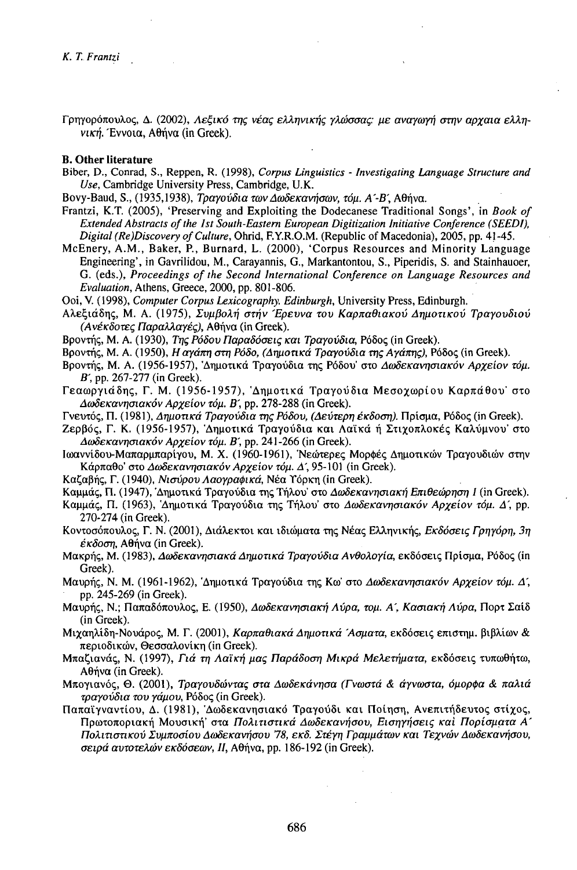Γοηγορόπουλος, Δ. (2002), Λεξικό της νέας ελληνικής γλώσσας: με αναγωγή στην αργαια ελλη*νική.* Έννοια, Αθήνα (in Greek).

#### **B.** Other literature

- Biber, D., Conrad, S., Reppen, R. (1998), Corpus Linguistics Investigating Language Structure and Use, Cambridge University Press, Cambridge, U.K.
- Bovy-Baud, S., (1935,1938), Τραγούδια των Δωδεκανήσων, τόμ. Α'-Β', Αθήνα,
- Frantzi, K.T. (2005), 'Preserving and Exploiting the Dodecanese Traditional Songs', in Book of Extended Abstracts of the 1st South-Eastern European Digitization Initiative Conference (SEEDI). Digital (Re)Discovery of Culture, Ohrid, F.Y.R.O.M. (Republic of Macedonia), 2005, pp. 41-45.
- McEnery, A.M., Baker, P., Burnard, L. (2000), 'Corpus Resources and Minority Language Engineering', in Gavrilidou, M., Carayannis, G., Markantontou, S., Piperidis, S. and Stainhauoer, G. (eds.), Proceedings of the Second International Conference on Language Resources and Evaluation, Athens, Greece, 2000, pp. 801-806.

Ooi, V. (1998), Computer Corpus Lexicography, Edinburgh, University Press, Edinburgh,

- Αλεξιάδης, Μ. Α. (1975), Συμβολή στήν Έρευνα του Καρπαθιακού Δημοτικού Τραγουδιού (Ανέκδοτες Παραλλαγές), Αθήνα (in Greek).
- Booντής, M. A. (1930). *Της Ρόδου Παραδόσεις και Τρανούδια*. Ρόδος (in Greek).
- Βροντής, Μ. Α. (1950), Η αγάπη στη Ρόδο, (Δημοτικά Τραγούδια της Αγάπης), Ρόδος (in Greek).
- Βροντής, Μ. Α. (1956-1957), 'Δημοτικά Τραγούδια της Ρόδου' στο Δωδεκανησιακόν Αρχείον τόμ. B', pp. 267-277 (in Greek).
- Γεαωργιάδης, Γ. Μ. (1956-1957), 'Δημοτικά Τραγούδια Μεσοχωρίου Καρπάθου' στο Δωδεκανησιακόν Αργείον τόμ. Β', pp. 278-288 (in Greek).
- Γνευτός, Π. (1981), Δημοτικά Τραγούδια της Ρόδου, (Δεύτερη έκδοση). Πρίσμα, Ρόδος (in Greek).
- Ζερβός, Γ. Κ. (1956-1957), 'Δημοτικά Τραγούδια και Λαϊκά ή Στιχοπλοκές Καλύμνου' στο Δωδεκανησιακόν Αρχείον τόμ. Β', pp. 241-266 (in Greek).
- Ιωαννίδου-Μαπαρμπαρίγου, Μ. Χ. (1960-1961), Νεώτερες Μορφές Δημοτικών Τραγουδιών στην Κάρπαθο' στο Δωδεκανησιακόν Αρχείον τόμ. Δ', 95-101 (in Greek).
- Καζαβής, Γ. (1940). *Νισύρου Λαονραφικά*, Νέα Υόρκη (in Greek).
- Καμμάς, Π. (1947), 'Δημοτικά Τραγούδια της Τήλου' στο Δωδεκανησιακή Επιθεώρηση 1 (in Greek).
- Καμμάς, Π. (1963), Δημοτικά Τραγούδια της Τήλου' στο Δωδεκανησιακόν Αρχείον τόμ. Δ', pp. 270-274 (in Greek).
- Κοντοσόπουλος, Γ. Ν. (2001), Διάλεκτοι και ιδιώματα της Νέας Ελληνικής, Εκδόσεις Γρηγόρη, 3η έκδοση, Αθήνα (in Greek).
- Μακρής, Μ. (1983), Δωδεκανησιακά Δημοτικά Τραγούδια Ανθολογία, εκδόσεις Πρίσμα, Ρόδος (in Greek).
- Μαυρής, Ν. Μ. (1961-1962), Δημοτικά Τραγούδια της Κω' στο Δωδεκανησιακόν Αρχείον τόμ. Δ', pp. 245-269 (in Greek).
- Μαυρής, Ν.; Παπαδόπουλος, Ε. (1950), Δωδεκανησιακή Λύρα, τομ. Α΄, Κασιακή Λύρα, Πορτ Σαίδ (in Greek).
- Μιχαηλίδη-Νουάρος, Μ. Γ. (2001), Καρπαθιακά Δημοτικά Άσματα, εκδόσεις επιστημ. βιβλίων & περιοδικών, Θεσσαλονίκη (in Greek).
- Μπαζιανάς, Ν. (1997), Γιά τη Λαϊκή μας Παράδοση Μικρά Μελετήματα, εκδόσεις τυπωθήτω, Αθήνα (in Greek).
- Μπογιανός, Θ. (2001), Τραγουδώντας στα Δωδεκάνησα (Γνωστά & άγνωστα, όμορφα & παλιά τραγούδια του γάμου, Ρόδος (in Greek).
- Παπαϊγναντίου, Δ. (1981), 'Δωδεκανησιακό Τραγούδι και Ποίηση, Ανεπιτήδευτος στίχος, Πρωτοποριακή Μουσική' στα Πολιτιστικά Δωδεκανήσου, Εισηγήσεις και Πορίσματα Α΄ Πολιτιστικού Συμποσίου Δωδεκανήσου '78, εκδ. Στέγη Γραμμάτων και Τεχνών Δωδεκανήσου, σειρά αυτοτελών εκδόσεων, ΙΙ, Αθήνα, pp. 186-192 (in Greek).